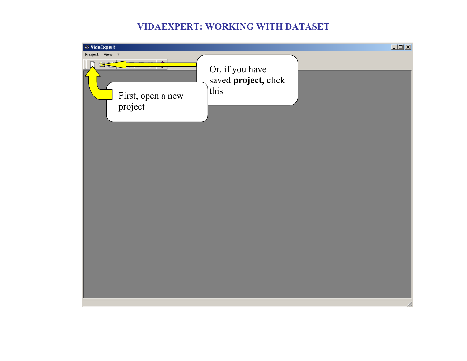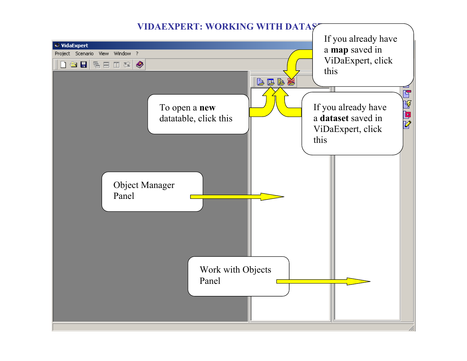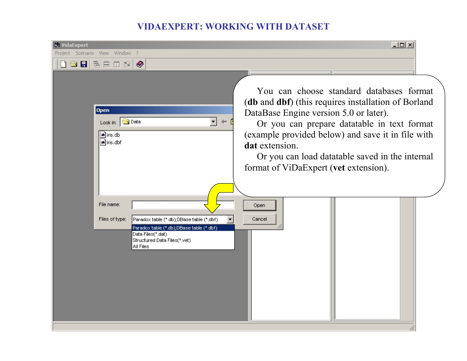| <b>WidaExpert</b><br>Project Scenario View Window ?<br>dselse d≈¦                                                                                                                      | $ \Box$ $\times$                                                                                                                                                                                                                                                                                                                                            |
|----------------------------------------------------------------------------------------------------------------------------------------------------------------------------------------|-------------------------------------------------------------------------------------------------------------------------------------------------------------------------------------------------------------------------------------------------------------------------------------------------------------------------------------------------------------|
| <b>Open</b><br>Look in: <b>G</b> Data<br>▾╎<br>$\Leftarrow$<br>an iris.db<br>an iris.dbf                                                                                               | You can choose standard databases format<br>(db and dbf) (this requires installation of Borland<br>DataBase Engine version 5.0 or later).<br>Or you can prepare datatable in text format<br>(example provided below) and save it in file with<br>dat extension.<br>Or you can load datatable saved in the internal<br>format of ViDaExpert (vet extension). |
| File name:<br>Files of type:<br>Paradox table (*.db);DBase table (*.dbf)<br>Paradox table (*.db);DBase table (*.dbf)<br>Data Files(*.dat)<br>Structured Data Files(*.vet)<br>All Files | Open<br>Cancel                                                                                                                                                                                                                                                                                                                                              |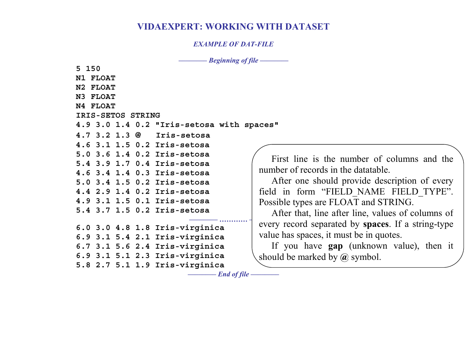#### *EXAMPLE OF DAT-FILE*

*–––––––– End of file ––––––––* 

*–––––––– Beginning of file ––––––––* 

| N1<br><b>FLOAT</b> |                                           |       |
|--------------------|-------------------------------------------|-------|
| N2<br><b>FLOAT</b> |                                           |       |
| N3<br><b>FLOAT</b> |                                           |       |
| N4 FLOAT           |                                           |       |
| IRIS-SETOS STRING  |                                           |       |
|                    | 4.9 3.0 1.4 0.2 "Iris-setosa with spaces" |       |
|                    | 4.7 3.2 1.3 @ Iris-setosa                 |       |
|                    | 4.6 3.1 1.5 0.2 Iris-setosa               |       |
|                    | 5.0 3.6 1.4 0.2 Iris-setosa               | Fi    |
|                    | 5.4 3.9 1.7 0.4 Iris-setosa               |       |
|                    | 4.6 3.4 1.4 0.3 Iris-setosa               | numb  |
|                    | 5.0 3.4 1.5 0.2 Iris-setosa               | A     |
|                    | 4.4 2.9 1.4 0.2 Iris-setosa               | field |
|                    | 4.9 3.1 1.5 0.1 Iris-setosa               | Possi |
|                    | 5.4 3.7 1.5 0.2 Iris-setosa               | A     |
|                    |                                           | every |
|                    | 6.0 3.0 4.8 1.8 Iris-virginica            | value |
|                    | 6.9 3.1 5.4 2.1 Iris-virginica            |       |
|                    | 6.7 3.1 5.6 2.4 Iris-virginica            | If    |
|                    | 6.9 3.1 5.1 2.3 Iris-virginica            | shoul |
|                    | 5.8 2.7 5.1 1.9 Iris-virginica            |       |
|                    |                                           |       |

**5 150**

First line is the number of columns and the number of records in the datatable.

After one should provide description of every field in form "FIELD\_NAME FIELD\_TYPE". Possible types are FLOAT and STRING.

*–––––––– ………… ––––––––*  every record separated by **spaces**. If a string-type After that, line after line, values of columns o f value has spaces, it must be in quotes.

> If you have **gap** (unknown value), then it should be marked by **@** symbol.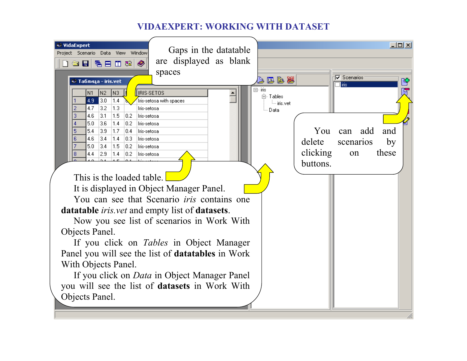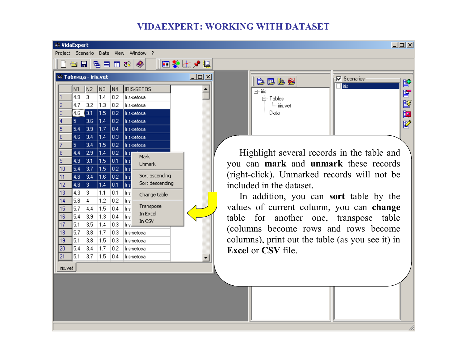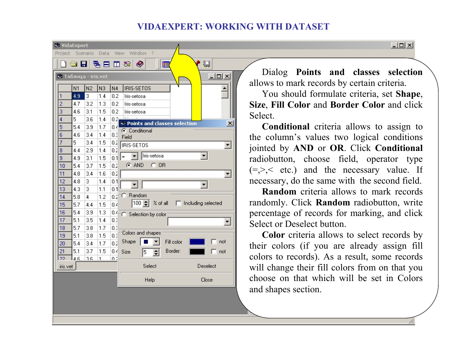| <b>VidaExpert</b>                              |                |                |                |      |                                                                   |  |  |
|------------------------------------------------|----------------|----------------|----------------|------|-------------------------------------------------------------------|--|--|
| Project                                        |                | Scenario       | Data           |      | Window<br>- ?<br>View                                             |  |  |
| 攌<br>$\bullet$ F<br>◉<br>림 目<br>□ 88<br>Ĵ<br>匣 |                |                |                |      |                                                                   |  |  |
| $\underline{\Box}$<br>• Таблица - iris.vet     |                |                |                |      |                                                                   |  |  |
|                                                | N <sub>1</sub> | N <sub>2</sub> | N <sub>3</sub> | N4   | <b>IRIS-SETOS</b>                                                 |  |  |
| 1                                              | 4.9            | 3              | 1.4            | 0.2  | Iris-setosa                                                       |  |  |
| $\overline{c}$                                 | 4.7            | 3.2            | 1.3            | 0.2  | Iris-setosa                                                       |  |  |
| 3                                              | 4.6            | 3.1            | 1.5            | 0.2  | Iris-setosa                                                       |  |  |
| 4                                              | 5              | 3.6            | 1.4            | 0.2ì |                                                                   |  |  |
| 5                                              | 5.4            | 3.9            | 1.7            | 0.4  | $\leftrightarrow$ Points and classes selection<br>$\vert x \vert$ |  |  |
| 6                                              | 4.6            | 3.4            | 1.4            | 0.3  | C Conditional<br>Field                                            |  |  |
| 7                                              | 5              | 3.4            | 1.5            | 0.2  | <b>IRIS-SETOS</b>                                                 |  |  |
| 8                                              | 4.4            | 2.9            | 1.4            | 0.2  |                                                                   |  |  |
| 9                                              | 4.9            | 3.1            | 1.5            | 0.1  | Iris-setosa<br>▾╎<br>$=$                                          |  |  |
| 10                                             | 5.4            | 3.7            | 1.5            | 0.2  | $C$ AND<br>$C$ OR                                                 |  |  |
| 11                                             | 4.8            | 3.4            | 1.6            | 0.2  |                                                                   |  |  |
| 12                                             | 4.8            | 3              | 1.4            | 0.1  |                                                                   |  |  |
| 13                                             | 4.3            | 3              | 1.1            | 0.1  |                                                                   |  |  |
| 14                                             | 5.8            | 4              | 1.2            | 0.2  | C Random                                                          |  |  |
| 15                                             | 5.7            | 4.4            | 1.5            | 0.4  | 100 $\bigstar$<br>% of all     Including selected                 |  |  |
| 16                                             | 5.4            | 3.9            | 1.3            | 0.4  | C Selection by color                                              |  |  |
| 17                                             | 5.1            | 3.5            | 1.4            | 0.3  |                                                                   |  |  |
| 18                                             | 5.7            | 3.8            | 1.7            | 0.3  |                                                                   |  |  |
| 19                                             | 5.1            | 3.8            | 1.5            | 0.3  | Colors and shapes                                                 |  |  |
| 20                                             | 5.4            | 3.4            | 1.7            | 0.2  | Shape<br>Fill color<br>not                                        |  |  |
| 21                                             | 5.1            | 3.7            | 1.5            | 0.4  | Border:<br>Size<br>÷<br>not<br>5                                  |  |  |
| 22                                             | عةا            | 36             | $\mathbf{1}$   | n۵   |                                                                   |  |  |
| iris.vet                                       |                |                |                |      | Select<br>Deselect                                                |  |  |
|                                                |                |                |                |      | Help<br>Close                                                     |  |  |
|                                                |                |                |                |      |                                                                   |  |  |
|                                                |                |                |                |      |                                                                   |  |  |
|                                                |                |                |                |      |                                                                   |  |  |
|                                                |                |                |                |      |                                                                   |  |  |

Dialog **Points and classes selection** allows to mark records by certain criteria.

 $\Box$ 

You should formulate criteria, set **Shape**, **Size**, **Fill Color** and **Border Color** and clic k Select.

**Conditional** criteria allows to assign to the column's values two logical conditions jointed by **AND** or **OR**. Click **Conditional** radiobutton, choose field, operator type  $(=,\ge, < etc.)$  and the necessary value. If necessary, do the same with the second field.

**Random** criteria allows to mark records randomly. Click **Random** radiobutton, write percentage of records for marking, and clic k Select or Deselect button.

**Color** criteria allows to select records b y their colors (if you are already assign fill colors to records). As a result, some records will change their fill colors from on that you choose on that which will be set in Colors and shapes section.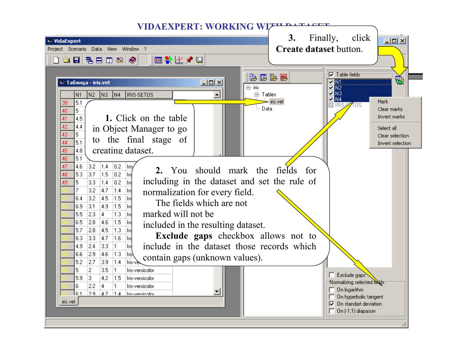![](_page_7_Picture_0.jpeg)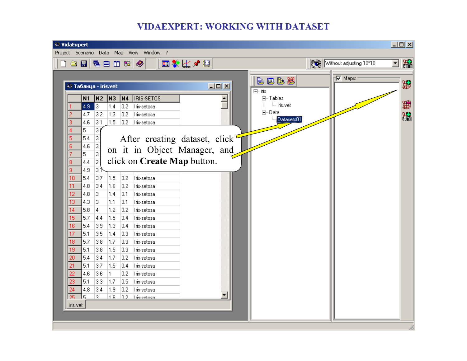![](_page_8_Picture_1.jpeg)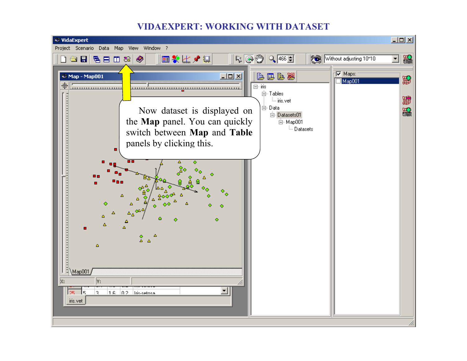![](_page_9_Picture_1.jpeg)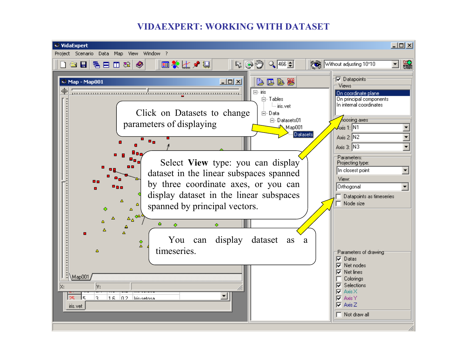![](_page_10_Picture_1.jpeg)